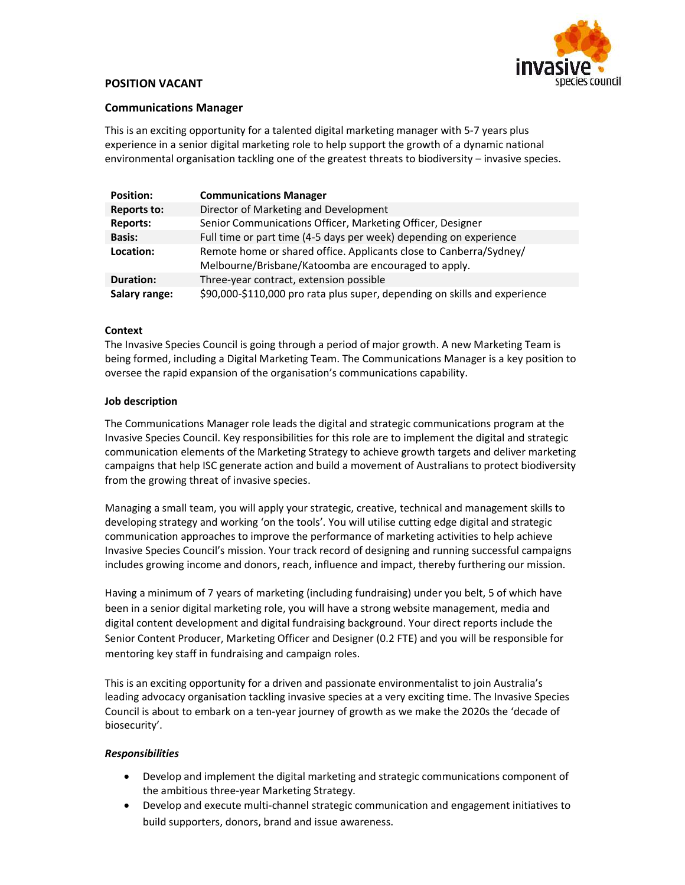

# POSITION VACANT

# Communications Manager

This is an exciting opportunity for a talented digital marketing manager with 5-7 years plus experience in a senior digital marketing role to help support the growth of a dynamic national environmental organisation tackling one of the greatest threats to biodiversity – invasive species.

| <b>Position:</b> | <b>Communications Manager</b>                                                                                              |
|------------------|----------------------------------------------------------------------------------------------------------------------------|
| Reports to:      | Director of Marketing and Development                                                                                      |
| <b>Reports:</b>  | Senior Communications Officer, Marketing Officer, Designer                                                                 |
| <b>Basis:</b>    | Full time or part time (4-5 days per week) depending on experience                                                         |
| Location:        | Remote home or shared office. Applicants close to Canberra/Sydney/<br>Melbourne/Brisbane/Katoomba are encouraged to apply. |
| <b>Duration:</b> | Three-year contract, extension possible                                                                                    |
| Salary range:    | \$90,000-\$110,000 pro rata plus super, depending on skills and experience                                                 |

# **Context**

The Invasive Species Council is going through a period of major growth. A new Marketing Team is being formed, including a Digital Marketing Team. The Communications Manager is a key position to oversee the rapid expansion of the organisation's communications capability.

#### Job description

The Communications Manager role leads the digital and strategic communications program at the Invasive Species Council. Key responsibilities for this role are to implement the digital and strategic communication elements of the Marketing Strategy to achieve growth targets and deliver marketing campaigns that help ISC generate action and build a movement of Australians to protect biodiversity from the growing threat of invasive species.

Managing a small team, you will apply your strategic, creative, technical and management skills to developing strategy and working 'on the tools'. You will utilise cutting edge digital and strategic communication approaches to improve the performance of marketing activities to help achieve Invasive Species Council's mission. Your track record of designing and running successful campaigns includes growing income and donors, reach, influence and impact, thereby furthering our mission.

Having a minimum of 7 years of marketing (including fundraising) under you belt, 5 of which have been in a senior digital marketing role, you will have a strong website management, media and digital content development and digital fundraising background. Your direct reports include the Senior Content Producer, Marketing Officer and Designer (0.2 FTE) and you will be responsible for mentoring key staff in fundraising and campaign roles.

This is an exciting opportunity for a driven and passionate environmentalist to join Australia's leading advocacy organisation tackling invasive species at a very exciting time. The Invasive Species Council is about to embark on a ten-year journey of growth as we make the 2020s the 'decade of biosecurity'.

#### Responsibilities

- Develop and implement the digital marketing and strategic communications component of the ambitious three-year Marketing Strategy.
- Develop and execute multi-channel strategic communication and engagement initiatives to build supporters, donors, brand and issue awareness.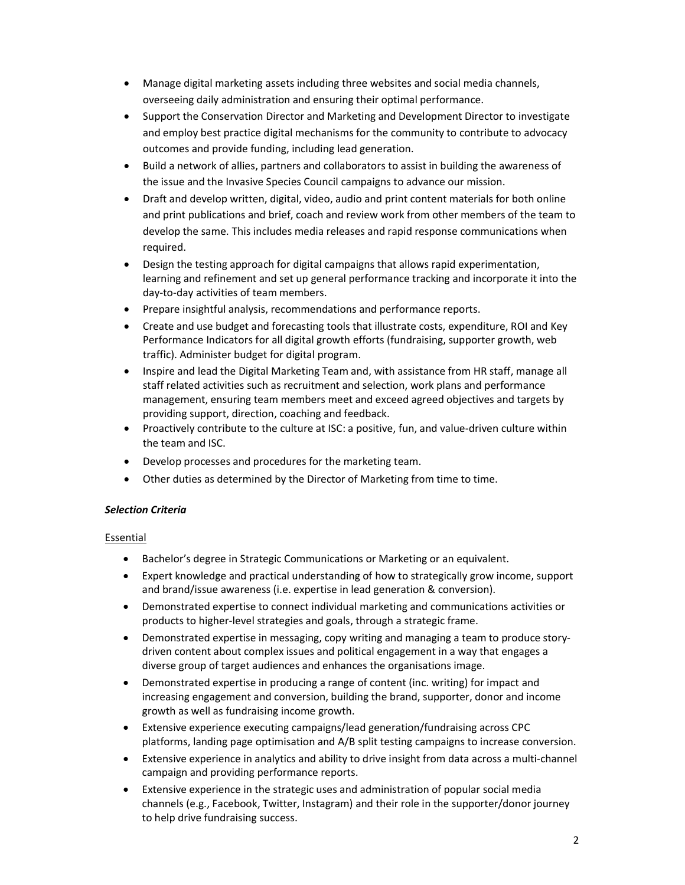- Manage digital marketing assets including three websites and social media channels, overseeing daily administration and ensuring their optimal performance.
- Support the Conservation Director and Marketing and Development Director to investigate and employ best practice digital mechanisms for the community to contribute to advocacy outcomes and provide funding, including lead generation.
- Build a network of allies, partners and collaborators to assist in building the awareness of the issue and the Invasive Species Council campaigns to advance our mission.
- Draft and develop written, digital, video, audio and print content materials for both online and print publications and brief, coach and review work from other members of the team to develop the same. This includes media releases and rapid response communications when required.
- Design the testing approach for digital campaigns that allows rapid experimentation, learning and refinement and set up general performance tracking and incorporate it into the day-to-day activities of team members.
- Prepare insightful analysis, recommendations and performance reports.
- Create and use budget and forecasting tools that illustrate costs, expenditure, ROI and Key Performance Indicators for all digital growth efforts (fundraising, supporter growth, web traffic). Administer budget for digital program.
- Inspire and lead the Digital Marketing Team and, with assistance from HR staff, manage all staff related activities such as recruitment and selection, work plans and performance management, ensuring team members meet and exceed agreed objectives and targets by providing support, direction, coaching and feedback.
- Proactively contribute to the culture at ISC: a positive, fun, and value-driven culture within the team and ISC.
- Develop processes and procedures for the marketing team.
- Other duties as determined by the Director of Marketing from time to time.

#### Selection Criteria

#### Essential

- Bachelor's degree in Strategic Communications or Marketing or an equivalent.
- Expert knowledge and practical understanding of how to strategically grow income, support and brand/issue awareness (i.e. expertise in lead generation & conversion).
- Demonstrated expertise to connect individual marketing and communications activities or products to higher-level strategies and goals, through a strategic frame.
- Demonstrated expertise in messaging, copy writing and managing a team to produce storydriven content about complex issues and political engagement in a way that engages a diverse group of target audiences and enhances the organisations image.
- Demonstrated expertise in producing a range of content (inc. writing) for impact and increasing engagement and conversion, building the brand, supporter, donor and income growth as well as fundraising income growth.
- Extensive experience executing campaigns/lead generation/fundraising across CPC platforms, landing page optimisation and A/B split testing campaigns to increase conversion.
- Extensive experience in analytics and ability to drive insight from data across a multi-channel campaign and providing performance reports.
- Extensive experience in the strategic uses and administration of popular social media channels (e.g., Facebook, Twitter, Instagram) and their role in the supporter/donor journey to help drive fundraising success.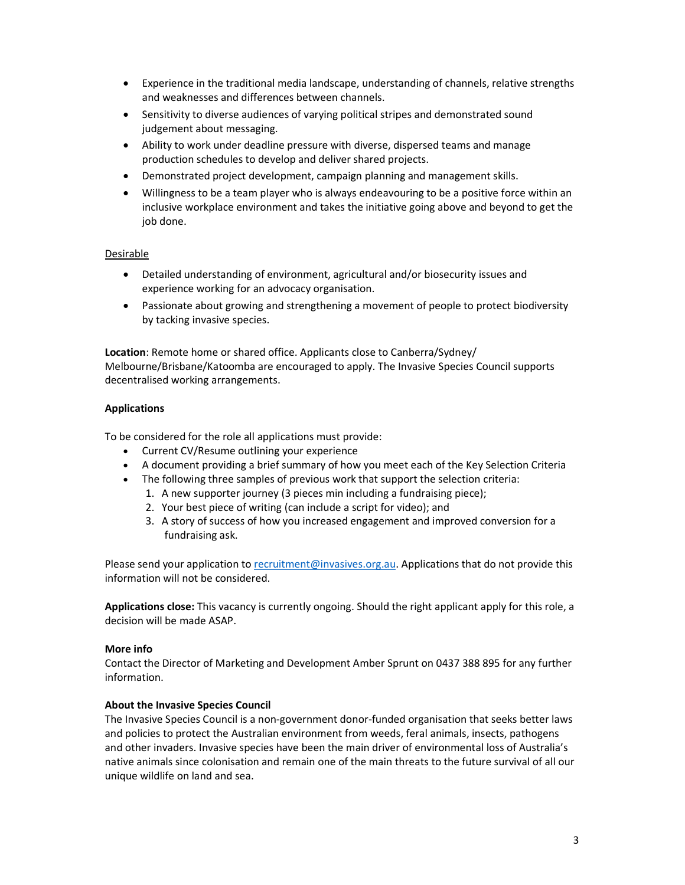- Experience in the traditional media landscape, understanding of channels, relative strengths and weaknesses and differences between channels.
- Sensitivity to diverse audiences of varying political stripes and demonstrated sound judgement about messaging.
- Ability to work under deadline pressure with diverse, dispersed teams and manage production schedules to develop and deliver shared projects.
- Demonstrated project development, campaign planning and management skills.
- Willingness to be a team player who is always endeavouring to be a positive force within an inclusive workplace environment and takes the initiative going above and beyond to get the job done.

# Desirable

- Detailed understanding of environment, agricultural and/or biosecurity issues and experience working for an advocacy organisation.
- Passionate about growing and strengthening a movement of people to protect biodiversity by tacking invasive species.

Location: Remote home or shared office. Applicants close to Canberra/Sydney/ Melbourne/Brisbane/Katoomba are encouraged to apply. The Invasive Species Council supports decentralised working arrangements.

# Applications

To be considered for the role all applications must provide:

- Current CV/Resume outlining your experience
- A document providing a brief summary of how you meet each of the Key Selection Criteria
- The following three samples of previous work that support the selection criteria:
	- 1. A new supporter journey (3 pieces min including a fundraising piece);
		- 2. Your best piece of writing (can include a script for video); and
		- 3. A story of success of how you increased engagement and improved conversion for a fundraising ask.

Please send your application to recruitment@invasives.org.au. Applications that do not provide this information will not be considered.

Applications close: This vacancy is currently ongoing. Should the right applicant apply for this role, a decision will be made ASAP.

#### More info

Contact the Director of Marketing and Development Amber Sprunt on 0437 388 895 for any further information.

#### About the Invasive Species Council

The Invasive Species Council is a non-government donor-funded organisation that seeks better laws and policies to protect the Australian environment from weeds, feral animals, insects, pathogens and other invaders. Invasive species have been the main driver of environmental loss of Australia's native animals since colonisation and remain one of the main threats to the future survival of all our unique wildlife on land and sea.